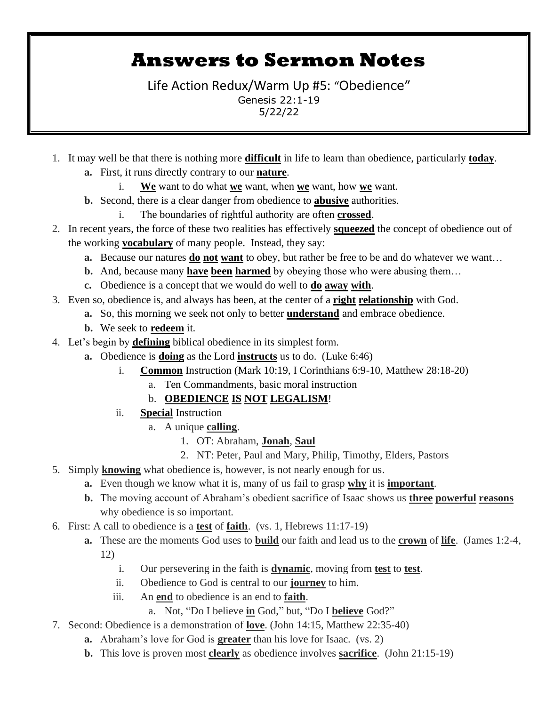## **Answers to Sermon Notes**

Life Action Redux/Warm Up #5: "Obedience" Genesis 22:1-19 5/22/22

- 1. It may well be that there is nothing more **difficult** in life to learn than obedience, particularly **today**. **a.** First, it runs directly contrary to our **nature**.
	-
	- i. **We** want to do what **we** want, when **we** want, how **we** want.
	- **b.** Second, there is a clear danger from obedience to **abusive** authorities. i. The boundaries of rightful authority are often **crossed**.
- 2. In recent years, the force of these two realities has effectively **squeezed** the concept of obedience out of the working **vocabulary** of many people. Instead, they say:
	- **a.** Because our natures **do not want** to obey, but rather be free to be and do whatever we want…
	- **b.** And, because many **have been harmed** by obeying those who were abusing them…
	- **c.** Obedience is a concept that we would do well to **do away with**.
- 3. Even so, obedience is, and always has been, at the center of a **right relationship** with God.
	- **a.** So, this morning we seek not only to better **understand** and embrace obedience.
	- **b.** We seek to **redeem** it.
- 4. Let's begin by **defining** biblical obedience in its simplest form.
	- **a.** Obedience is **doing** as the Lord **instructs** us to do. (Luke 6:46)
		- i. **Common** Instruction (Mark 10:19, I Corinthians 6:9-10, Matthew 28:18-20)
			- a. Ten Commandments, basic moral instruction

## b. **OBEDIENCE IS NOT LEGALISM**!

- ii. **Special** Instruction
	- a. A unique **calling**.
		- 1. OT: Abraham, **Jonah**, **Saul**
		- 2. NT: Peter, Paul and Mary, Philip, Timothy, Elders, Pastors
- 5. Simply **knowing** what obedience is, however, is not nearly enough for us.
	- **a.** Even though we know what it is, many of us fail to grasp **why** it is **important**.
	- **b.** The moving account of Abraham's obedient sacrifice of Isaac shows us **three powerful reasons** why obedience is so important.
- 6. First: A call to obedience is a **test** of **faith**. (vs. 1, Hebrews 11:17-19)
	- **a.** These are the moments God uses to **build** our faith and lead us to the **crown** of **life**. (James 1:2-4, 12)
		- i. Our persevering in the faith is **dynamic**, moving from **test** to **test**.
		- ii. Obedience to God is central to our **journey** to him.
		- iii. An **end** to obedience is an end to **faith**.
			- a. Not, "Do I believe **in** God," but, "Do I **believe** God?"
- 7. Second: Obedience is a demonstration of **love**. (John 14:15, Matthew 22:35-40)
	- **a.** Abraham's love for God is **greater** than his love for Isaac. (vs. 2)
	- **b.** This love is proven most **clearly** as obedience involves **sacrifice**. (John 21:15-19)